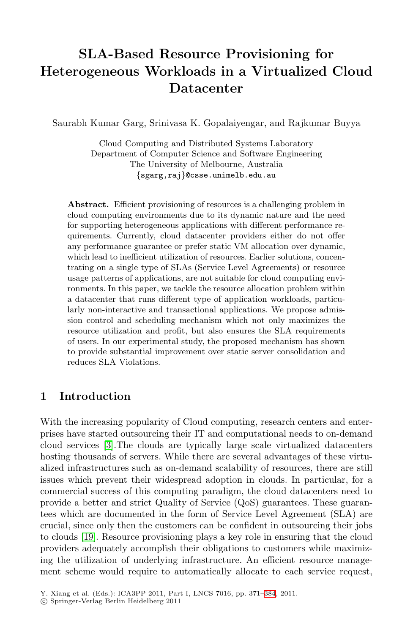# **SLA-Based Resource Provisioning for Heterogeneous Workloads in a Virtualized Cloud Datacenter**

Saurabh Kumar Garg, Srinivasa K. Gopalaiyengar, and Rajkumar Buyya

Cloud Computing and Distributed Systems Laboratory Department of Computer Science and Software Engineering The University of Melbourne, Australia *{*sgarg,raj*}*@csse.unimelb.edu.au

**Abstract.** Efficient provisioning of resources is a challenging problem in cloud computing environments due to its dynamic nature and the need for supporting heterogeneous applications with different performance requirements. Currently, cloud datacenter providers either do not offer any performance guarantee or prefer static VM allocation over dynamic, which lead to inefficient utilization of resources. Earlier solutions, concentrating on a single type of SLAs (Service Level Agreements) or resource usage patterns of applications, are not suitable for cloud computing environments. In this paper, we tackle the resource allocation problem within a datacenter that runs different type of application workloads, particularly non-interactive and transactional applications. We propose admission control and scheduling mechanism which not only maximizes the resource utilization and profit, but also ensures the SLA requirements of users. In our experimental study, the proposed mechanism has shown to provide substantial improvement over static server consolidation and reduces SLA Violations.

#### **1 Introduction**

With the increasing popularity of Cloud computing, research centers and enterprises have started outsourcing their IT and computational needs to on-demand cloud services [\[3\]](#page-13-0).The clouds are typically large scale virtualized datacenters hosting thousands of servers. While there are several advantages of these virtualized infrastructures such as on-demand scalability of resources, there are still issues which prevent their widespread adoption in clouds. In particular, for a commercial success of this computing paradigm, the cloud datacenters need to provide a better and strict Quality of Service (QoS) guarantees. These guarantees which are documented in the form of Service Level Agreement (SLA) are crucial, since only then the customers can be confident in outsourcing their jobs to clouds [\[19\]](#page-13-1). Resource provisioning plays a key role in ensuring that the cloud providers adequately accomplish their obligations to customers while maximizing the utilization of underlying infrastructure. An efficient resource management scheme would require to automatically allocate to each service request,

Y. Xiang et al. (Eds.): ICA3PP 2011, Part I, LNCS 7016, pp. 371[–384](#page-13-2), 2011.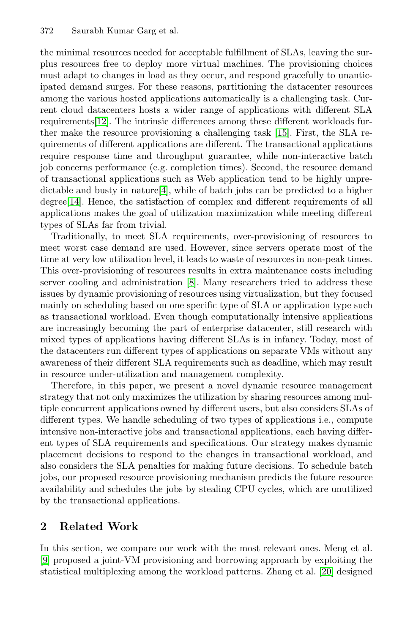the minimal resources needed for acceptable fulfillment of SLAs, leaving the surplus resources free to deploy more virtual machines. The provisioning choices must adapt to changes in load as they occur, and respond gracefully to unanticipated demand surges. For these reasons, partitioning the datacenter resources among the various hosted applications automatically is a challenging task. Current cloud datacenters hosts a wider range of applications with different SLA requirements[\[12\]](#page-13-3). The intrinsic differences among these different workloads further make the resource provisioning a challenging task [\[15\]](#page-13-4). First, the SLA requirements of different applications are different. The transactional applications require response time and throughput guarantee, while non-interactive batch job concerns performance (e.g. completion times). Second, the resource demand of transactional applications such as Web application tend to be highly unpredictable and busty in nature[\[4\]](#page-13-5), while of batch jobs can be predicted to a higher degree[\[14\]](#page-13-6). Hence, the satisfaction of complex and different requirements of all applications makes the goal of utilization maximization while meeting different types of SLAs far from trivial.

Traditionally, to meet SLA requirements, over-provisioning of resources to meet worst case demand are used. However, since servers operate most of the time at very low utilization level, it leads to waste of resources in non-peak times. This over-provisioning of resources results in extra maintenance costs including server cooling and administration [\[8\]](#page-13-7). Many researchers tried to address these issues by dynamic provisioning of resources using virtualization, but they focused mainly on scheduling based on one specific type of SLA or application type such as transactional workload. Even though computationally intensive applications are increasingly becoming the part of enterprise datacenter, still research with mixed types of applications having different SLAs is in infancy. Today, most of the datacenters run different types of applications on separate VMs without any awareness of their different SLA requirements such as deadline, which may result in resource under-utilization and management complexity.

Therefore, in this paper, we present a novel dynamic resource management strategy that not only maximizes the utilization by sharing resources among multiple concurrent applications owned by different users, but also considers SLAs of different types. We handle scheduling of two types of applications i.e., compute intensive non-interactive jobs and transactional applications, each having different types of SLA requirements and specifications. Our strategy makes dynamic placement decisions to respond to the changes in transactional workload, and also considers the SLA penalties for making future decisions. To schedule batch jobs, our proposed resource provisioning mechanism predicts the future resource availability and schedules the jobs by stealing CPU cycles, which are unutilized by the transactional applications.

# **2 Related Work**

In this section, we compare our work with the most relevant ones. Meng et al. [\[9\]](#page-13-8) proposed a joint-VM provisioning and borrowing approach by exploiting the statistical multiplexing among the workload patterns. Zhang et al. [\[20\]](#page-13-9) designed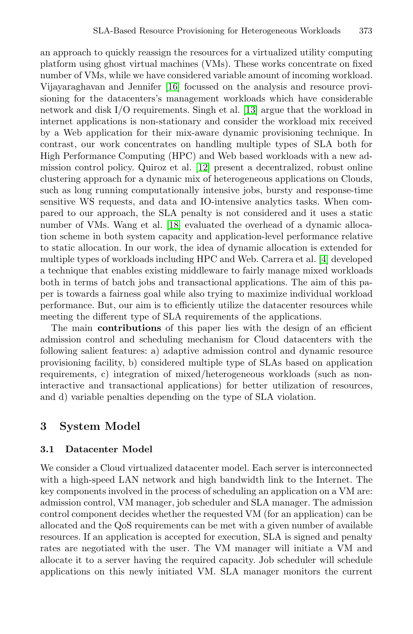an approach to quickly reassign the resources for a virtualized utility computing platform using ghost virtual machines (VMs). These works concentrate on fixed number of VMs, while we have considered variable amount of incoming workload. Vijayaraghavan and Jennifer [\[16\]](#page-13-10) focussed on the analysis and resource provisioning for the datacenters's management workloads which have considerable network and disk I/O requirements. Singh et al. [\[13\]](#page-13-11) argue that the workload in internet applications is non-stationary and consider the workload mix received by a Web application for their mix-aware dynamic provisioning technique. In contrast, our work concentrates on handling multiple types of SLA both for High Performance Computing (HPC) and Web based workloads with a new admission control policy. Quiroz et al. [\[12\]](#page-13-3) present a decentralized, robust online clustering approach for a dynamic mix of heterogeneous applications on Clouds, such as long running computationally intensive jobs, bursty and response-time sensitive WS requests, and data and IO-intensive analytics tasks. When compared to our approach, the SLA penalty is not considered and it uses a static number of VMs. Wang et al. [\[18\]](#page-13-12) evaluated the overhead of a dynamic allocation scheme in both system capacity and application-level performance relative to static allocation. In our work, the idea of dynamic allocation is extended for multiple types of workloads including HPC and Web. Carrera et al. [\[4\]](#page-13-5) developed a technique that enables existing middleware to fairly manage mixed workloads both in terms of batch jobs and transactional applications. The aim of this paper is towards a fairness goal while also trying to maximize individual workload performance. But, our aim is to efficiently utilize the datacenter resources while meeting the different type of SLA requirements of the applications.

The main **contributions** of this paper lies with the design of an efficient admission control and scheduling mechanism for Cloud datacenters with the following salient features: a) adaptive admission control and dynamic resource provisioning facility, b) considered multiple type of SLAs based on application requirements, c) integration of mixed/heterogeneous workloads (such as noninteractive and transactional applications) for better utilization of resources, and d) variable penalties depending on the type of SLA violation.

# **3 System Model**

#### **3.1 Datacenter Model**

We consider a Cloud virtualized datacenter model. Each server is interconnected with a high-speed LAN network and high bandwidth link to the Internet. The key components involved in the process of scheduling an application on a VM are: admission control, VM manager, job scheduler and SLA manager. The admission control component decides whether the requested VM (for an application) can be allocated and the QoS requirements can be met with a given number of available resources. If an application is accepted for execution, SLA is signed and penalty rates are negotiated with the user. The VM manager will initiate a VM and allocate it to a server having the required capacity. Job scheduler will schedule applications on this newly initiated VM. SLA manager monitors the current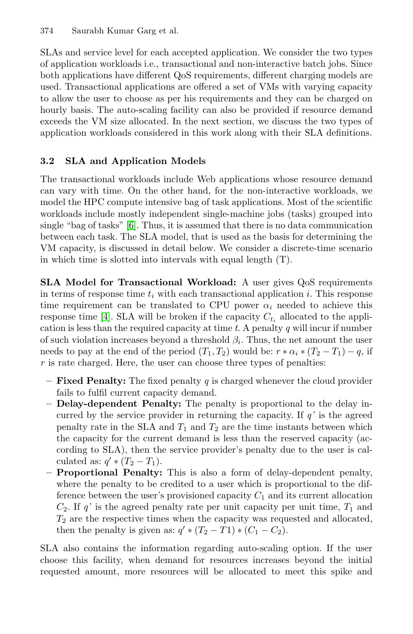SLAs and service level for each accepted application. We consider the two types of application workloads i.e., transactional and non-interactive batch jobs. Since both applications have different QoS requirements, different charging models are used. Transactional applications are offered a set of VMs with varying capacity to allow the user to choose as per his requirements and they can be charged on hourly basis. The auto-scaling facility can also be provided if resource demand exceeds the VM size allocated. In the next section, we discuss the two types of application workloads considered in this work along with their SLA definitions.

# **3.2 SLA and Application Models**

The transactional workloads include Web applications whose resource demand can vary with time. On the other hand, for the non-interactive workloads, we model the HPC compute intensive bag of task applications. Most of the scientific workloads include mostly independent single-machine jobs (tasks) grouped into single "bag of tasks" [\[6\]](#page-13-13). Thus, it is assumed that there is no data communication between each task. The SLA model, that is used as the basis for determining the VM capacity, is discussed in detail below. We consider a discrete-time scenario in which time is slotted into intervals with equal length (T).

**SLA Model for Transactional Workload:** A user gives QoS requirements in terms of response time  $t_i$  with each transactional application i. This response time requirement can be translated to CPU power  $\alpha_i$  needed to achieve this response time [\[4\]](#page-13-5). SLA will be broken if the capacity  $C_{t_i}$  allocated to the application is less than the required capacity at time *t*. A penalty *q* will incur if number of such violation increases beyond a threshold  $\beta_i$ . Thus, the net amount the user needs to pay at the end of the period  $(T_1, T_2)$  would be:  $r * \alpha_i * (T_2 - T_1) - q$ , if *r* is rate charged. Here, the user can choose three types of penalties:

- **Fixed Penalty:** The fixed penalty *q* is charged whenever the cloud provider fails to fulfil current capacity demand.
- **Delay-dependent Penalty:** The penalty is proportional to the delay incurred by the service provider in returning the capacity. If *q'* is the agreed penalty rate in the SLA and  $T_1$  and  $T_2$  are the time instants between which the capacity for the current demand is less than the reserved capacity (according to SLA), then the service provider's penalty due to the user is calculated as:  $q' * (T_2 - T_1)$ .
- **Proportional Penalty:** This is also a form of delay-dependent penalty, where the penalty to be credited to a user which is proportional to the difference between the user's provisioned capacity  $C_1$  and its current allocation  $C_2$ . If  $q'$  is the agreed penalty rate per unit capacity per unit time,  $T_1$  and  $T_2$  are the respective times when the capacity was requested and allocated, then the penalty is given as:  $q' * (T_2 - T_1) * (C_1 - C_2)$ .

SLA also contains the information regarding auto-scaling option. If the user choose this facility, when demand for resources increases beyond the initial requested amount, more resources will be allocated to meet this spike and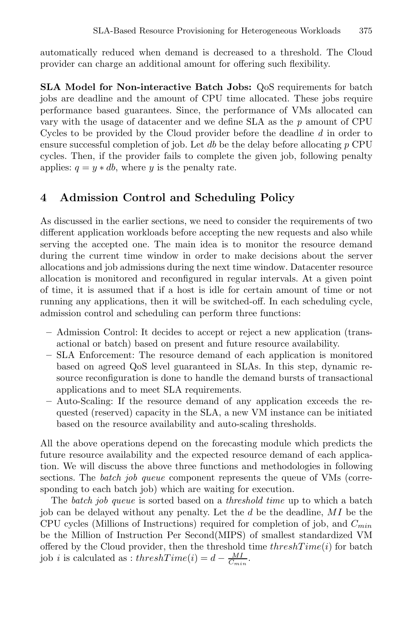automatically reduced when demand is decreased to a threshold. The Cloud provider can charge an additional amount for offering such flexibility.

**SLA Model for Non-interactive Batch Jobs:** QoS requirements for batch jobs are deadline and the amount of CPU time allocated. These jobs require performance based guarantees. Since, the performance of VMs allocated can vary with the usage of datacenter and we define SLA as the *p* amount of CPU Cycles to be provided by the Cloud provider before the deadline *d* in order to ensure successful completion of job. Let db be the delay before allocating  $p$  CPU cycles. Then, if the provider fails to complete the given job, following penalty applies:  $q = y * db$ , where y is the penalty rate.

### **4 Admission Control and Scheduling Policy**

As discussed in the earlier sections, we need to consider the requirements of two different application workloads before accepting the new requests and also while serving the accepted one. The main idea is to monitor the resource demand during the current time window in order to make decisions about the server allocations and job admissions during the next time window. Datacenter resource allocation is monitored and reconfigured in regular intervals. At a given point of time, it is assumed that if a host is idle for certain amount of time or not running any applications, then it will be switched-off. In each scheduling cycle, admission control and scheduling can perform three functions:

- **–** Admission Control: It decides to accept or reject a new application (transactional or batch) based on present and future resource availability.
- **–** SLA Enforcement: The resource demand of each application is monitored based on agreed QoS level guaranteed in SLAs. In this step, dynamic resource reconfiguration is done to handle the demand bursts of transactional applications and to meet SLA requirements.
- **–** Auto-Scaling: If the resource demand of any application exceeds the requested (reserved) capacity in the SLA, a new VM instance can be initiated based on the resource availability and auto-scaling thresholds.

All the above operations depend on the forecasting module which predicts the future resource availability and the expected resource demand of each application. We will discuss the above three functions and methodologies in following sections. The *batch job queue* component represents the queue of VMs (corresponding to each batch job) which are waiting for execution.

The *batch job queue* is sorted based on a *threshold time* up to which a batch job can be delayed without any penalty. Let the  $d$  be the deadline, MI be the CPU cycles (Millions of Instructions) required for completion of job, and C*min* be the Million of Instruction Per Second(MIPS) of smallest standardized VM offered by the Cloud provider, then the threshold time  $threshTime(i)$  for batch job *i* is calculated as :  $threshold = d - \frac{MI}{C_{min}}$ .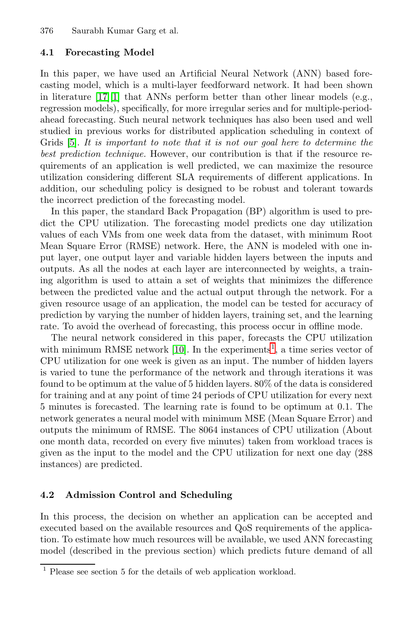#### **4.1 Forecasting Model**

In this paper, we have used an Artificial Neural Network (ANN) based forecasting model, which is a multi-layer feedforward network. It had been shown in literature  $[17][1]$  $[17][1]$  that ANNs perform better than other linear models (e.g., regression models), specifically, for more irregular series and for multiple-periodahead forecasting. Such neural network techniques has also been used and well studied in previous works for distributed application scheduling in context of Grids [\[5\]](#page-13-16). *It is important to note that it is not our goal here to determine the best prediction technique.* However, our contribution is that if the resource requirements of an application is well predicted, we can maximize the resource utilization considering different SLA requirements of different applications. In addition, our scheduling policy is designed to be robust and tolerant towards the incorrect prediction of the forecasting model.

In this paper, the standard Back Propagation (BP) algorithm is used to predict the CPU utilization. The forecasting model predicts one day utilization values of each VMs from one week data from the dataset, with minimum Root Mean Square Error (RMSE) network. Here, the ANN is modeled with one input layer, one output layer and variable hidden layers between the inputs and outputs. As all the nodes at each layer are interconnected by weights, a training algorithm is used to attain a set of weights that minimizes the difference between the predicted value and the actual output through the network. For a given resource usage of an application, the model can be tested for accuracy of prediction by varying the number of hidden layers, training set, and the learning rate. To avoid the overhead of forecasting, this process occur in offline mode.

The neural network considered in this paper, forecasts the CPU utilization with minimum RMSE network  $[10]$ . In the experiments<sup>1</sup>, a time series vector of CPU utilization for one week is given as an input. The number of hidden layers is varied to tune the performance of the network and through iterations it was found to be optimum at the value of 5 hidden layers. 80% of the data is considered for training and at any point of time 24 periods of CPU utilization for every next 5 minutes is forecasted. The learning rate is found to be optimum at 0.1. The network generates a neural model with minimum MSE (Mean Square Error) and outputs the minimum of RMSE. The 8064 instances of CPU utilization (About one month data, recorded on every five minutes) taken from workload traces is given as the input to the model and the CPU utilization for next one day (288 instances) are predicted.

#### **4.2 Admission Control and Scheduling**

In this process, the decision on whether an application can be accepted and executed based on the available resources and QoS requirements of the application. To estimate how much resources will be available, we used ANN forecasting model (described in the previous section) which predicts future demand of all

 $^{\rm 1}$  Please see section 5 for the details of web application workload.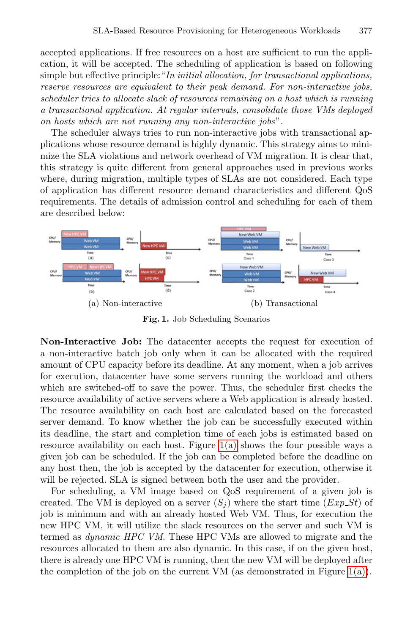accepted applications. If free resources on a host are sufficient to run the application, it will be accepted. The scheduling of application is based on following simple but effective principle:"*In initial allocation, for transactional applications, reserve resources are equivalent to their peak demand. For non-interactive jobs, scheduler tries to allocate slack of resources remaining on a host which is running a transactional application. At regular intervals, consolidate those VMs deployed on hosts which are not running any non-interactive jobs*".

The scheduler always tries to run non-interactive jobs with transactional applications whose resource demand is highly dynamic. This strategy aims to minimize the SLA violations and network overhead of VM migration. It is clear that, this strategy is quite different from general approaches used in previous works where, during migration, multiple types of SLAs are not considered. Each type of application has different resource demand characteristics and different QoS requirements. The details of admission control and scheduling for each of them are described below:

<span id="page-6-0"></span>

<span id="page-6-1"></span>**Fig. 1.** Job Scheduling Scenarios

**Non-Interactive Job:** The datacenter accepts the request for execution of a non-interactive batch job only when it can be allocated with the required amount of CPU capacity before its deadline. At any moment, when a job arrives for execution, datacenter have some servers running the workload and others which are switched-off to save the power. Thus, the scheduler first checks the resource availability of active servers where a Web application is already hosted. The resource availability on each host are calculated based on the forecasted server demand. To know whether the job can be successfully executed within its deadline, the start and completion time of each jobs is estimated based on resource availability on each host. Figure  $1(a)$  shows the four possible ways a given job can be scheduled. If the job can be completed before the deadline on any host then, the job is accepted by the datacenter for execution, otherwise it will be rejected. SLA is signed between both the user and the provider.

For scheduling, a VM image based on QoS requirement of a given job is created. The VM is deployed on a server  $(S_i)$  where the start time  $(Exp St)$  of job is minimum and with an already hosted Web VM. Thus, for execution the new HPC VM, it will utilize the slack resources on the server and such VM is termed as *dynamic HPC VM*. These HPC VMs are allowed to migrate and the resources allocated to them are also dynamic. In this case, if on the given host, there is already one HPC VM is running, then the new VM will be deployed after the completion of the job on the current VM (as demonstrated in Figure [1\(a\)\)](#page-6-0).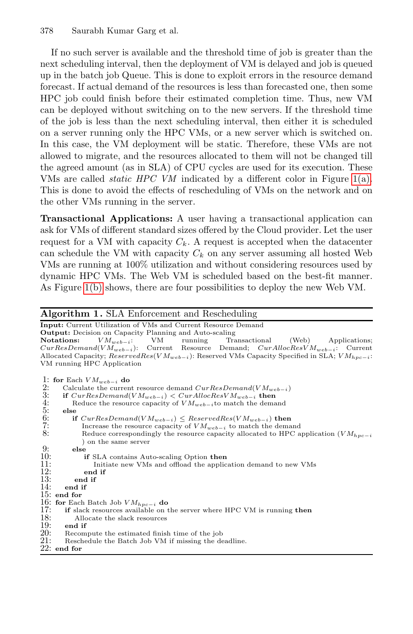If no such server is available and the threshold time of job is greater than the next scheduling interval, then the deployment of VM is delayed and job is queued up in the batch job Queue. This is done to exploit errors in the resource demand forecast. If actual demand of the resources is less than forecasted one, then some HPC job could finish before their estimated completion time. Thus, new VM can be deployed without switching on to the new servers. If the threshold time of the job is less than the next scheduling interval, then either it is scheduled on a server running only the HPC VMs, or a new server which is switched on. In this case, the VM deployment will be static. Therefore, these VMs are not allowed to migrate, and the resources allocated to them will not be changed till the agreed amount (as in SLA) of CPU cycles are used for its execution. These VMs are called *static HPC VM* indicated by a different color in Figure [1\(a\).](#page-6-0) This is done to avoid the effects of rescheduling of VMs on the network and on the other VMs running in the server.

**Transactional Applications:** A user having a transactional application can ask for VMs of different standard sizes offered by the Cloud provider. Let the user request for a VM with capacity  $C_k$ . A request is accepted when the datacenter can schedule the VM with capacity  $C_k$  on any server assuming all hosted Web VMs are running at 100% utilization and without considering resources used by dynamic HPC VMs. The Web VM is scheduled based on the best-fit manner. As Figure [1\(b\)](#page-6-1) shows, there are four possibilities to deploy the new Web VM.

| <b>Algorithm 1. SLA Enforcement and Rescheduling</b>                                                   |  |  |  |  |  |  |  |  |
|--------------------------------------------------------------------------------------------------------|--|--|--|--|--|--|--|--|
| <b>Input:</b> Current Utilization of VMs and Current Resource Demand                                   |  |  |  |  |  |  |  |  |
| <b>Output:</b> Decision on Capacity Planning and Auto-scaling                                          |  |  |  |  |  |  |  |  |
| (Web) Applications;<br>Notations:<br>$VM_{web-i}:$ VM<br>running<br>Transactional                      |  |  |  |  |  |  |  |  |
| $CurRes Demand(VM_{web-i}):$ Current Resource Demand; $CurAllocResVM_{web-i}:$ Current                 |  |  |  |  |  |  |  |  |
| Allocated Capacity; $ReservedRes(VM_{web-i})$ : Reserved VMs Capacity Specified in SLA; $VM_{hvc-i}$ : |  |  |  |  |  |  |  |  |
| VM running HPC Application                                                                             |  |  |  |  |  |  |  |  |
| 1: for Each $VM_{web-i}$ do                                                                            |  |  |  |  |  |  |  |  |
| 2:<br>Calculate the current resource demand $CurRes Demand(VM_{web-i})$                                |  |  |  |  |  |  |  |  |
| 3:<br>if $CurRes Demand(VM_{web-i}) < CurAllocResVM_{web-i}$ then                                      |  |  |  |  |  |  |  |  |
| 4:<br>Reduce the resource capacity of $VM_{web-i}$ to match the demand                                 |  |  |  |  |  |  |  |  |
| 5:<br>else<br>6:                                                                                       |  |  |  |  |  |  |  |  |
| if $CurRes Demon(VM_{web-i}) \leq ReservedRes(VM_{web-i})$ then                                        |  |  |  |  |  |  |  |  |
| 7:<br>Increase the resource capacity of $VM_{web-i}$ to match the demand                               |  |  |  |  |  |  |  |  |
| 8:<br>Reduce correspondingly the resource capacity allocated to HPC application $(VM_{hpc-i})$         |  |  |  |  |  |  |  |  |
| ) on the same server                                                                                   |  |  |  |  |  |  |  |  |
| 9:<br>else                                                                                             |  |  |  |  |  |  |  |  |
| 10:<br><b>if</b> SLA contains Auto-scaling Option then                                                 |  |  |  |  |  |  |  |  |
| 11:<br>Initiate new VMs and offload the application demand to new VMs                                  |  |  |  |  |  |  |  |  |
| 12:<br>end if                                                                                          |  |  |  |  |  |  |  |  |
| 13:<br>end if                                                                                          |  |  |  |  |  |  |  |  |
| 14:<br>end if                                                                                          |  |  |  |  |  |  |  |  |
| $15:$ end for                                                                                          |  |  |  |  |  |  |  |  |
| 16: for Each Batch Job $VM_{hpc-i}$ do                                                                 |  |  |  |  |  |  |  |  |
| 17:<br><b>if</b> slack resources available on the server where HPC VM is running then                  |  |  |  |  |  |  |  |  |
| 18:<br>Allocate the slack resources                                                                    |  |  |  |  |  |  |  |  |
| 19:<br>end if<br>20:                                                                                   |  |  |  |  |  |  |  |  |
| Recompute the estimated finish time of the job                                                         |  |  |  |  |  |  |  |  |
| 21:<br>Reschedule the Batch Job VM if missing the deadline.                                            |  |  |  |  |  |  |  |  |
| $22:$ end for                                                                                          |  |  |  |  |  |  |  |  |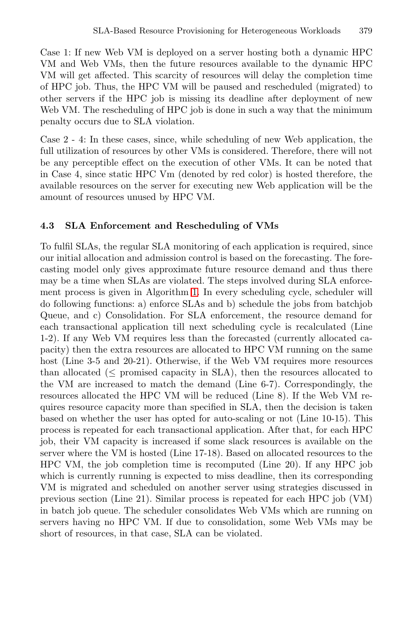Case 1: If new Web VM is deployed on a server hosting both a dynamic HPC VM and Web VMs, then the future resources available to the dynamic HPC VM will get affected. This scarcity of resources will delay the completion time of HPC job. Thus, the HPC VM will be paused and rescheduled (migrated) to other servers if the HPC job is missing its deadline after deployment of new Web VM. The rescheduling of HPC job is done in such a way that the minimum penalty occurs due to SLA violation.

Case 2 - 4: In these cases, since, while scheduling of new Web application, the full utilization of resources by other VMs is considered. Therefore, there will not be any perceptible effect on the execution of other VMs. It can be noted that in Case 4, since static HPC Vm (denoted by red color) is hosted therefore, the available resources on the server for executing new Web application will be the amount of resources unused by HPC VM.

#### **4.3 SLA Enforcement and Rescheduling of VMs**

To fulfil SLAs, the regular SLA monitoring of each application is required, since our initial allocation and admission control is based on the forecasting. The forecasting model only gives approximate future resource demand and thus there may be a time when SLAs are violated. The steps involved during SLA enforcement process is given in Algorithm 1. In every scheduling cycle, scheduler will do following functions: a) enforce SLAs and b) schedule the jobs from batchjob Queue, and c) Consolidation. For SLA enforcement, the resource demand for each transactional application till next scheduling cycle is recalculated (Line 1-2). If any Web VM requires less than the forecasted (currently allocated capacity) then the extra resources are allocated to HPC VM running on the same host (Line 3-5 and 20-21). Otherwise, if the Web VM requires more resources than allocated  $(\leq$  promised capacity in SLA), then the resources allocated to the VM are increased to match the demand (Line 6-7). Correspondingly, the resources allocated the HPC VM will be reduced (Line 8). If the Web VM requires resource capacity more than specified in SLA, then the decision is taken based on whether the user has opted for auto-scaling or not (Line 10-15). This process is repeated for each transactional application. After that, for each HPC job, their VM capacity is increased if some slack resources is available on the server where the VM is hosted (Line 17-18). Based on allocated resources to the HPC VM, the job completion time is recomputed (Line 20). If any HPC job which is currently running is expected to miss deadline, then its corresponding VM is migrated and scheduled on another server using strategies discussed in previous section (Line 21). Similar process is repeated for each HPC job (VM) in batch job queue. The scheduler consolidates Web VMs which are running on servers having no HPC VM. If due to consolidation, some Web VMs may be short of resources, in that case, SLA can be violated.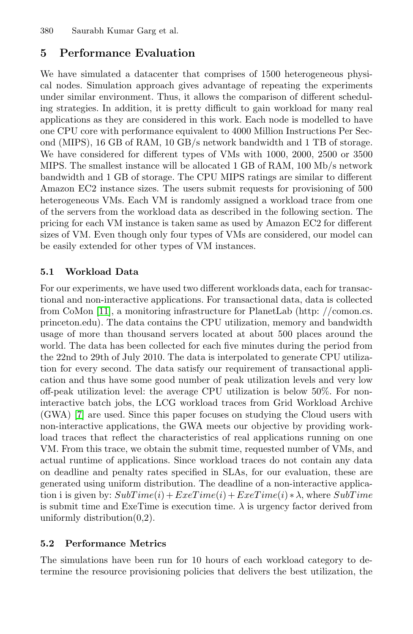# **5 Performance Evaluation**

We have simulated a datacenter that comprises of 1500 heterogeneous physical nodes. Simulation approach gives advantage of repeating the experiments under similar environment. Thus, it allows the comparison of different scheduling strategies. In addition, it is pretty difficult to gain workload for many real applications as they are considered in this work. Each node is modelled to have one CPU core with performance equivalent to 4000 Million Instructions Per Second (MIPS), 16 GB of RAM, 10 GB/s network bandwidth and 1 TB of storage. We have considered for different types of VMs with 1000, 2000, 2500 or 3500 MIPS. The smallest instance will be allocated 1 GB of RAM, 100 Mb/s network bandwidth and 1 GB of storage. The CPU MIPS ratings are similar to different Amazon EC2 instance sizes. The users submit requests for provisioning of 500 heterogeneous VMs. Each VM is randomly assigned a workload trace from one of the servers from the workload data as described in the following section. The pricing for each VM instance is taken same as used by Amazon EC2 for different sizes of VM. Even though only four types of VMs are considered, our model can be easily extended for other types of VM instances.

### **5.1 Workload Data**

For our experiments, we have used two different workloads data, each for transactional and non-interactive applications. For transactional data, data is collected from CoMon [\[11\]](#page-13-18), a monitoring infrastructure for PlanetLab (http: //comon.cs. princeton.edu). The data contains the CPU utilization, memory and bandwidth usage of more than thousand servers located at about 500 places around the world. The data has been collected for each five minutes during the period from the 22nd to 29th of July 2010. The data is interpolated to generate CPU utilization for every second. The data satisfy our requirement of transactional application and thus have some good number of peak utilization levels and very low off-peak utilization level: the average CPU utilization is below 50%. For noninteractive batch jobs, the LCG workload traces from Grid Workload Archive (GWA) [\[7\]](#page-13-19) are used. Since this paper focuses on studying the Cloud users with non-interactive applications, the GWA meets our objective by providing workload traces that reflect the characteristics of real applications running on one VM. From this trace, we obtain the submit time, requested number of VMs, and actual runtime of applications. Since workload traces do not contain any data on deadline and penalty rates specified in SLAs, for our evaluation, these are generated using uniform distribution. The deadline of a non-interactive application i is given by:  $SubTime(i) + Exerme(i) + Exerme(i) * \lambda$ , where  $SubTime$ is submit time and ExeTime is execution time.  $\lambda$  is urgency factor derived from uniformly distribution $(0,2)$ .

# **5.2 Performance Metrics**

The simulations have been run for 10 hours of each workload category to determine the resource provisioning policies that delivers the best utilization, the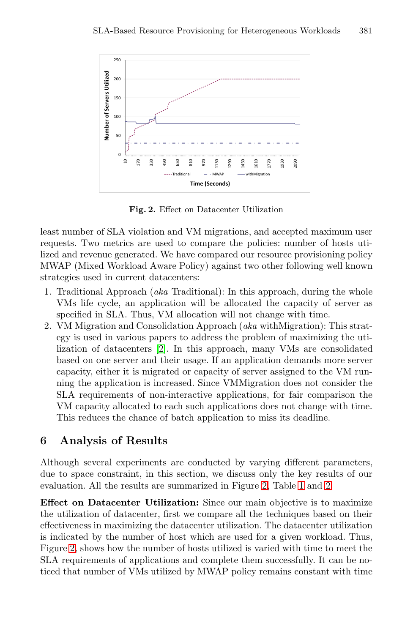<span id="page-10-0"></span>

**Fig. 2.** Effect on Datacenter Utilization

least number of SLA violation and VM migrations, and accepted maximum user requests. Two metrics are used to compare the policies: number of hosts utilized and revenue generated. We have compared our resource provisioning policy MWAP (Mixed Workload Aware Policy) against two other following well known strategies used in current datacenters:

- 1. Traditional Approach (*aka* Traditional): In this approach, during the whole VMs life cycle, an application will be allocated the capacity of server as specified in SLA. Thus, VM allocation will not change with time.
- 2. VM Migration and Consolidation Approach (*aka* withMigration): This strategy is used in various papers to address the problem of maximizing the utilization of datacenters [\[2\]](#page-13-20). In this approach, many VMs are consolidated based on one server and their usage. If an application demands more server capacity, either it is migrated or capacity of server assigned to the VM running the application is increased. Since VMMigration does not consider the SLA requirements of non-interactive applications, for fair comparison the VM capacity allocated to each such applications does not change with time. This reduces the chance of batch application to miss its deadline.

# **6 Analysis of Results**

Although several experiments are conducted by varying different parameters, due to space constraint, in this section, we discuss only the key results of our evaluation. All the results are summarized in Figure [2,](#page-10-0) Table [1](#page-11-0) and [2.](#page-11-1)

**Effect on Datacenter Utilization:** Since our main objective is to maximize the utilization of datacenter, first we compare all the techniques based on their effectiveness in maximizing the datacenter utilization. The datacenter utilization is indicated by the number of host which are used for a given workload. Thus, Figure [2,](#page-10-0) shows how the number of hosts utilized is varied with time to meet the SLA requirements of applications and complete them successfully. It can be noticed that number of VMs utilized by MWAP policy remains constant with time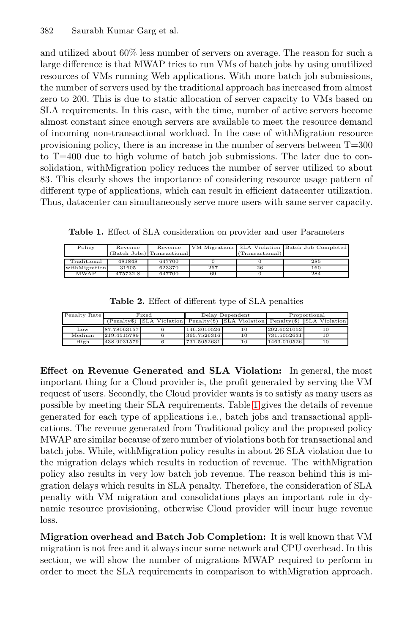and utilized about 60% less number of servers on average. The reason for such a large difference is that MWAP tries to run VMs of batch jobs by using unutilized resources of VMs running Web applications. With more batch job submissions, the number of servers used by the traditional approach has increased from almost zero to 200. This is due to static allocation of server capacity to VMs based on SLA requirements. In this case, with the time, number of active servers become almost constant since enough servers are available to meet the resource demand of incoming non-transactional workload. In the case of withMigration resource provisioning policy, there is an increase in the number of servers between  $T=300$ to T=400 due to high volume of batch job submissions. The later due to consolidation, withMigration policy reduces the number of server utilized to about 83. This clearly shows the importance of considering resource usage pattern of different type of applications, which can result in efficient datacenter utilization. Thus, datacenter can simultaneously serve more users with same server capacity.

<span id="page-11-0"></span>**Table 1.** Effect of SLA consideration on provider and user Parameters

<span id="page-11-1"></span>

| Policy        | Revenue  | Revenue<br>(Batch Jobs) Transactional |     | (Transactional) | VM Migrations SLA Violation Batch Job Completed |
|---------------|----------|---------------------------------------|-----|-----------------|-------------------------------------------------|
| Traditional   | 481848   | 647700                                |     |                 | 285                                             |
| withMigration | 31605    | 623370                                | 267 | 26              | 160                                             |
| <b>MWAP</b>   | 475732.8 | 647700                                | 69  |                 | 284                                             |

| Penalty Rate | Fixed       |  | Delay Dependent |    | Proportional |                                                                               |  |  |
|--------------|-------------|--|-----------------|----|--------------|-------------------------------------------------------------------------------|--|--|
|              |             |  |                 |    |              | (Penalty\$) SLA Violation Penalty(\$) SLA Violation Penalty(\$) SLA Violation |  |  |
|              |             |  |                 |    |              |                                                                               |  |  |
| Low          | 87.78063157 |  | 146.3010526     | 10 | 292.6021052  |                                                                               |  |  |
| Medium       | 219.4515789 |  | 365.7526316     | 10 | 731.5052631  | 10                                                                            |  |  |
| High         | 438.9031579 |  | 731.5052631     | 10 | 1463.010526  |                                                                               |  |  |

**Table 2.** Effect of different type of SLA penalties

**Effect on Revenue Generated and SLA Violation:** In general, the most important thing for a Cloud provider is, the profit generated by serving the VM request of users. Secondly, the Cloud provider wants is to satisfy as many users as possible by meeting their SLA requirements. Table [1](#page-11-0) gives the details of revenue generated for each type of applications i.e., batch jobs and transactional applications. The revenue generated from Traditional policy and the proposed policy MWAP are similar because of zero number of violations both for transactional and batch jobs. While, withMigration policy results in about 26 SLA violation due to the migration delays which results in reduction of revenue. The withMigration policy also results in very low batch job revenue. The reason behind this is migration delays which results in SLA penalty. Therefore, the consideration of SLA penalty with VM migration and consolidations plays an important role in dynamic resource provisioning, otherwise Cloud provider will incur huge revenue loss.

**Migration overhead and Batch Job Completion:** It is well known that VM migration is not free and it always incur some network and CPU overhead. In this section, we will show the number of migrations MWAP required to perform in order to meet the SLA requirements in comparison to withMigration approach.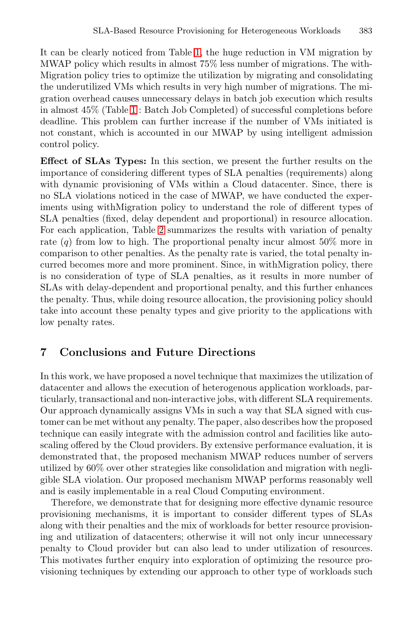It can be clearly noticed from Table [1,](#page-11-0) the huge reduction in VM migration by MWAP policy which results in almost 75% less number of migrations. The with-Migration policy tries to optimize the utilization by migrating and consolidating the underutilized VMs which results in very high number of migrations. The migration overhead causes unnecessary delays in batch job execution which results in almost 45% (Table [1](#page-11-0) : Batch Job Completed) of successful completions before deadline. This problem can further increase if the number of VMs initiated is not constant, which is accounted in our MWAP by using intelligent admission control policy.

**Effect of SLAs Types:** In this section, we present the further results on the importance of considering different types of SLA penalties (requirements) along with dynamic provisioning of VMs within a Cloud datacenter. Since, there is no SLA violations noticed in the case of MWAP, we have conducted the experiments using withMigration policy to understand the role of different types of SLA penalties (fixed, delay dependent and proportional) in resource allocation. For each application, Table [2](#page-11-1) summarizes the results with variation of penalty rate  $(q)$  from low to high. The proportional penalty incur almost 50% more in comparison to other penalties. As the penalty rate is varied, the total penalty incurred becomes more and more prominent. Since, in withMigration policy, there is no consideration of type of SLA penalties, as it results in more number of SLAs with delay-dependent and proportional penalty, and this further enhances the penalty. Thus, while doing resource allocation, the provisioning policy should take into account these penalty types and give priority to the applications with low penalty rates.

# **7 Conclusions and Future Directions**

In this work, we have proposed a novel technique that maximizes the utilization of datacenter and allows the execution of heterogenous application workloads, particularly, transactional and non-interactive jobs, with different SLA requirements. Our approach dynamically assigns VMs in such a way that SLA signed with customer can be met without any penalty. The paper, also describes how the proposed technique can easily integrate with the admission control and facilities like autoscaling offered by the Cloud providers. By extensive performance evaluation, it is demonstrated that, the proposed mechanism MWAP reduces number of servers utilized by 60% over other strategies like consolidation and migration with negligible SLA violation. Our proposed mechanism MWAP performs reasonably well and is easily implementable in a real Cloud Computing environment.

Therefore, we demonstrate that for designing more effective dynamic resource provisioning mechanisms, it is important to consider different types of SLAs along with their penalties and the mix of workloads for better resource provisioning and utilization of datacenters; otherwise it will not only incur unnecessary penalty to Cloud provider but can also lead to under utilization of resources. This motivates further enquiry into exploration of optimizing the resource provisioning techniques by extending our approach to other type of workloads such